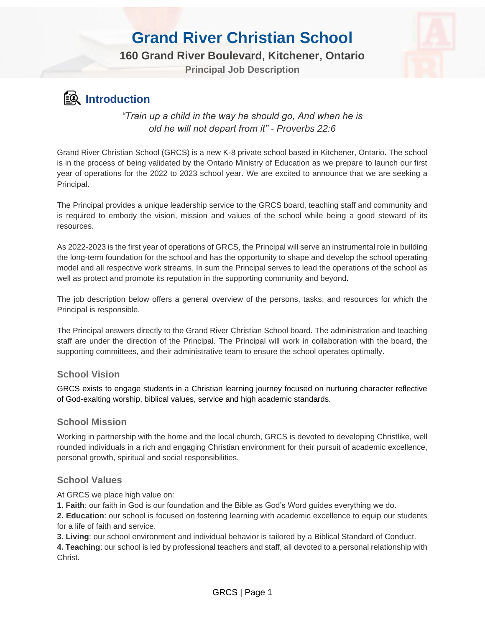### **160 Grand River Boulevard, Kitchener, Ontario**

**Principal Job Description**



### **Introduction**

*"Train up a child in the way he should go, And when he is old he will not depart from it" - Proverbs 22:6*

Grand River Christian School (GRCS) is a new K-8 private school based in Kitchener, Ontario. The school is in the process of being validated by the Ontario Ministry of Education as we prepare to launch our first year of operations for the 2022 to 2023 school year. We are excited to announce that we are seeking a Principal.

The Principal provides a unique leadership service to the GRCS board, teaching staff and community and is required to embody the vision, mission and values of the school while being a good steward of its resources.

As 2022-2023 is the first year of operations of GRCS, the Principal will serve an instrumental role in building the long-term foundation for the school and has the opportunity to shape and develop the school operating model and all respective work streams. In sum the Principal serves to lead the operations of the school as well as protect and promote its reputation in the supporting community and beyond.

The job description below offers a general overview of the persons, tasks, and resources for which the Principal is responsible.

The Principal answers directly to the Grand River Christian School board. The administration and teaching staff are under the direction of the Principal. The Principal will work in collaboration with the board, the supporting committees, and their administrative team to ensure the school operates optimally.

#### **School Vision**

GRCS exists to engage students in a Christian learning journey focused on nurturing character reflective of God-exalting worship, biblical values, service and high academic standards.

#### **School Mission**

Working in partnership with the home and the local church, GRCS is devoted to developing Christlike, well rounded individuals in a rich and engaging Christian environment for their pursuit of academic excellence, personal growth, spiritual and social responsibilities.

#### **School Values**

At GRCS we place high value on:

**1. Faith**: our faith in God is our foundation and the Bible as God's Word guides everything we do.

**2. Education**: our school is focused on fostering learning with academic excellence to equip our students for a life of faith and service.

**3. Living**: our school environment and individual behavior is tailored by a Biblical Standard of Conduct.

**4. Teaching**: our school is led by professional teachers and staff, all devoted to a personal relationship with Christ.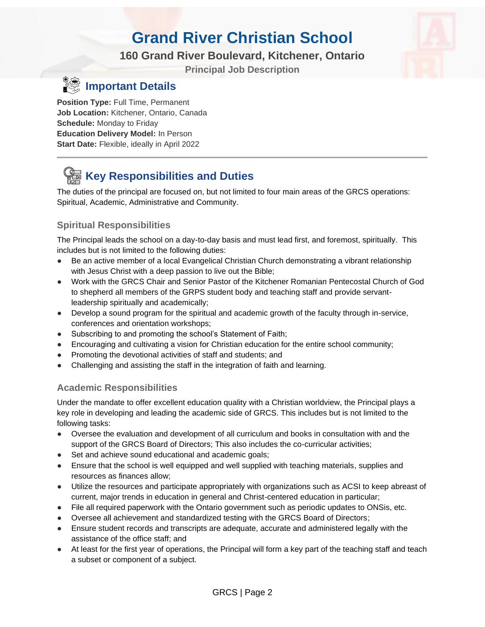### **160 Grand River Boulevard, Kitchener, Ontario**

**Principal Job Description**



### **Important Details**

**Position Type:** Full Time, Permanent **Job Location:** Kitchener, Ontario, Canada **Schedule:** Monday to Friday **Education Delivery Model:** In Person **Start Date:** Flexible, ideally in April 2022

## **Key Responsibilities and Duties**

The duties of the principal are focused on, but not limited to four main areas of the GRCS operations: Spiritual, Academic, Administrative and Community.

### **Spiritual Responsibilities**

The Principal leads the school on a day-to-day basis and must lead first, and foremost, spiritually. This includes but is not limited to the following duties:

- Be an active member of a local Evangelical Christian Church demonstrating a vibrant relationship with Jesus Christ with a deep passion to live out the Bible;
- Work with the GRCS Chair and Senior Pastor of the Kitchener Romanian Pentecostal Church of God to shepherd all members of the GRPS student body and teaching staff and provide servantleadership spiritually and academically;
- Develop a sound program for the spiritual and academic growth of the faculty through in-service, conferences and orientation workshops;
- Subscribing to and promoting the school's Statement of Faith;
- Encouraging and cultivating a vision for Christian education for the entire school community;
- Promoting the devotional activities of staff and students; and
- Challenging and assisting the staff in the integration of faith and learning.

#### **Academic Responsibilities**

Under the mandate to offer excellent education quality with a Christian worldview, the Principal plays a key role in developing and leading the academic side of GRCS. This includes but is not limited to the following tasks:

- Oversee the evaluation and development of all curriculum and books in consultation with and the support of the GRCS Board of Directors; This also includes the co-curricular activities;
- Set and achieve sound educational and academic goals;
- Ensure that the school is well equipped and well supplied with teaching materials, supplies and resources as finances allow;
- Utilize the resources and participate appropriately with organizations such as ACSI to keep abreast of current, major trends in education in general and Christ-centered education in particular;
- File all required paperwork with the Ontario government such as periodic updates to ONSis, etc.
- Oversee all achievement and standardized testing with the GRCS Board of Directors;
- Ensure student records and transcripts are adequate, accurate and administered legally with the assistance of the office staff; and
- At least for the first year of operations, the Principal will form a key part of the teaching staff and teach a subset or component of a subject.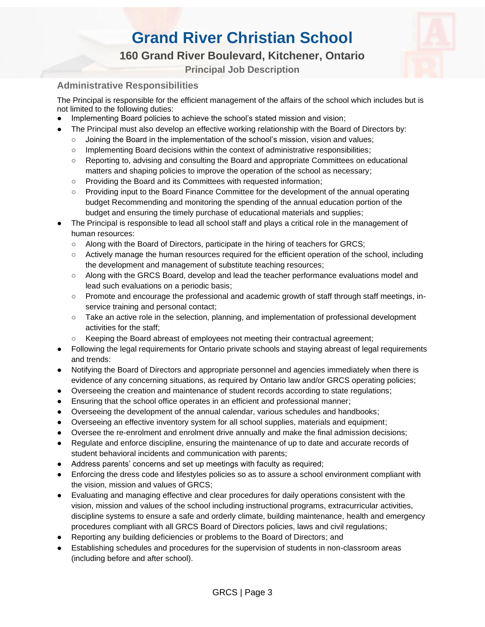### **160 Grand River Boulevard, Kitchener, Ontario**

**Principal Job Description**

#### **Administrative Responsibilities**

The Principal is responsible for the efficient management of the affairs of the school which includes but is not limited to the following duties:

- Implementing Board policies to achieve the school's stated mission and vision;
- The Principal must also develop an effective working relationship with the Board of Directors by:
	- Joining the Board in the implementation of the school's mission, vision and values;
	- Implementing Board decisions within the context of administrative responsibilities;
	- Reporting to, advising and consulting the Board and appropriate Committees on educational matters and shaping policies to improve the operation of the school as necessary;
	- Providing the Board and its Committees with requested information;
	- Providing input to the Board Finance Committee for the development of the annual operating budget Recommending and monitoring the spending of the annual education portion of the budget and ensuring the timely purchase of educational materials and supplies;
- The Principal is responsible to lead all school staff and plays a critical role in the management of human resources:
	- Along with the Board of Directors, participate in the hiring of teachers for GRCS;
	- Actively manage the human resources required for the efficient operation of the school, including the development and management of substitute teaching resources;
	- Along with the GRCS Board, develop and lead the teacher performance evaluations model and lead such evaluations on a periodic basis;
	- Promote and encourage the professional and academic growth of staff through staff meetings, inservice training and personal contact;
	- Take an active role in the selection, planning, and implementation of professional development activities for the staff;
	- Keeping the Board abreast of employees not meeting their contractual agreement;
- Following the legal requirements for Ontario private schools and staying abreast of legal requirements and trends:
- Notifying the Board of Directors and appropriate personnel and agencies immediately when there is evidence of any concerning situations, as required by Ontario law and/or GRCS operating policies;
- Overseeing the creation and maintenance of student records according to state regulations;
- Ensuring that the school office operates in an efficient and professional manner;
- Overseeing the development of the annual calendar, various schedules and handbooks;
- Overseeing an effective inventory system for all school supplies, materials and equipment;
- Oversee the re-enrolment and enrolment drive annually and make the final admission decisions;
- Regulate and enforce discipline, ensuring the maintenance of up to date and accurate records of student behavioral incidents and communication with parents;
- Address parents' concerns and set up meetings with faculty as required;
- Enforcing the dress code and lifestyles policies so as to assure a school environment compliant with the vision, mission and values of GRCS;
- Evaluating and managing effective and clear procedures for daily operations consistent with the vision, mission and values of the school including instructional programs, extracurricular activities, discipline systems to ensure a safe and orderly climate, building maintenance, health and emergency procedures compliant with all GRCS Board of Directors policies, laws and civil regulations;
- Reporting any building deficiencies or problems to the Board of Directors; and
- Establishing schedules and procedures for the supervision of students in non-classroom areas (including before and after school).